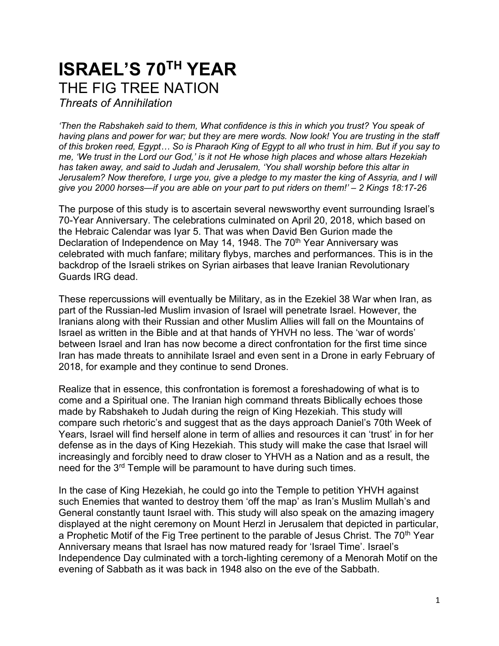## **ISRAEL'S 70TH YEAR** THE FIG TREE NATION

*Threats of Annihilation*

*'Then the Rabshakeh said to them, What confidence is this in which you trust? You speak of having plans and power for war; but they are mere words. Now look! You are trusting in the staff of this broken reed, Egypt… So is Pharaoh King of Egypt to all who trust in him. But if you say to me, 'We trust in the Lord our God,' is it not He whose high places and whose altars Hezekiah has taken away, and said to Judah and Jerusalem, 'You shall worship before this altar in Jerusalem? Now therefore, I urge you, give a pledge to my master the king of Assyria, and I will give you 2000 horses—if you are able on your part to put riders on them!' – 2 Kings 18:17-26*

The purpose of this study is to ascertain several newsworthy event surrounding Israel's 70-Year Anniversary. The celebrations culminated on April 20, 2018, which based on the Hebraic Calendar was Iyar 5. That was when David Ben Gurion made the Declaration of Independence on May 14, 1948. The 70<sup>th</sup> Year Anniversary was celebrated with much fanfare; military flybys, marches and performances. This is in the backdrop of the Israeli strikes on Syrian airbases that leave Iranian Revolutionary Guards IRG dead.

These repercussions will eventually be Military, as in the Ezekiel 38 War when Iran, as part of the Russian-led Muslim invasion of Israel will penetrate Israel. However, the Iranians along with their Russian and other Muslim Allies will fall on the Mountains of Israel as written in the Bible and at that hands of YHVH no less. The 'war of words' between Israel and Iran has now become a direct confrontation for the first time since Iran has made threats to annihilate Israel and even sent in a Drone in early February of 2018, for example and they continue to send Drones.

Realize that in essence, this confrontation is foremost a foreshadowing of what is to come and a Spiritual one. The Iranian high command threats Biblically echoes those made by Rabshakeh to Judah during the reign of King Hezekiah. This study will compare such rhetoric's and suggest that as the days approach Daniel's 70th Week of Years, Israel will find herself alone in term of allies and resources it can 'trust' in for her defense as in the days of King Hezekiah. This study will make the case that Israel will increasingly and forcibly need to draw closer to YHVH as a Nation and as a result, the need for the 3<sup>rd</sup> Temple will be paramount to have during such times.

In the case of King Hezekiah, he could go into the Temple to petition YHVH against such Enemies that wanted to destroy them 'off the map' as Iran's Muslim Mullah's and General constantly taunt Israel with. This study will also speak on the amazing imagery displayed at the night ceremony on Mount Herzl in Jerusalem that depicted in particular, a Prophetic Motif of the Fig Tree pertinent to the parable of Jesus Christ. The 70<sup>th</sup> Year Anniversary means that Israel has now matured ready for 'Israel Time'. Israel's Independence Day culminated with a torch-lighting ceremony of a Menorah Motif on the evening of Sabbath as it was back in 1948 also on the eve of the Sabbath.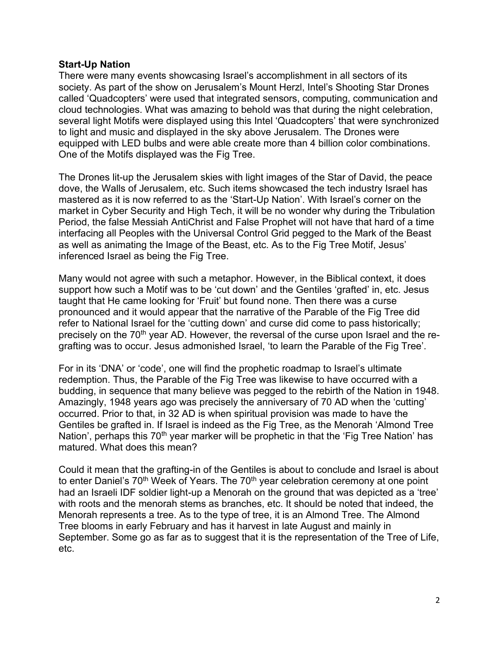## **Start-Up Nation**

There were many events showcasing Israel's accomplishment in all sectors of its society. As part of the show on Jerusalem's Mount Herzl, Intel's Shooting Star Drones called 'Quadcopters' were used that integrated sensors, computing, communication and cloud technologies. What was amazing to behold was that during the night celebration, several light Motifs were displayed using this Intel 'Quadcopters' that were synchronized to light and music and displayed in the sky above Jerusalem. The Drones were equipped with LED bulbs and were able create more than 4 billion color combinations. One of the Motifs displayed was the Fig Tree.

The Drones lit-up the Jerusalem skies with light images of the Star of David, the peace dove, the Walls of Jerusalem, etc. Such items showcased the tech industry Israel has mastered as it is now referred to as the 'Start-Up Nation'. With Israel's corner on the market in Cyber Security and High Tech, it will be no wonder why during the Tribulation Period, the false Messiah AntiChrist and False Prophet will not have that hard of a time interfacing all Peoples with the Universal Control Grid pegged to the Mark of the Beast as well as animating the Image of the Beast, etc. As to the Fig Tree Motif, Jesus' inferenced Israel as being the Fig Tree.

Many would not agree with such a metaphor. However, in the Biblical context, it does support how such a Motif was to be 'cut down' and the Gentiles 'grafted' in, etc. Jesus taught that He came looking for 'Fruit' but found none. Then there was a curse pronounced and it would appear that the narrative of the Parable of the Fig Tree did refer to National Israel for the 'cutting down' and curse did come to pass historically; precisely on the 70<sup>th</sup> year AD. However, the reversal of the curse upon Israel and the regrafting was to occur. Jesus admonished Israel, 'to learn the Parable of the Fig Tree'.

For in its 'DNA' or 'code', one will find the prophetic roadmap to Israel's ultimate redemption. Thus, the Parable of the Fig Tree was likewise to have occurred with a budding, in sequence that many believe was pegged to the rebirth of the Nation in 1948. Amazingly, 1948 years ago was precisely the anniversary of 70 AD when the 'cutting' occurred. Prior to that, in 32 AD is when spiritual provision was made to have the Gentiles be grafted in. If Israel is indeed as the Fig Tree, as the Menorah 'Almond Tree Nation', perhaps this  $70<sup>th</sup>$  year marker will be prophetic in that the 'Fig Tree Nation' has matured. What does this mean?

Could it mean that the grafting-in of the Gentiles is about to conclude and Israel is about to enter Daniel's  $70<sup>th</sup>$  Week of Years. The  $70<sup>th</sup>$  year celebration ceremony at one point had an Israeli IDF soldier light-up a Menorah on the ground that was depicted as a 'tree' with roots and the menorah stems as branches, etc. It should be noted that indeed, the Menorah represents a tree. As to the type of tree, it is an Almond Tree. The Almond Tree blooms in early February and has it harvest in late August and mainly in September. Some go as far as to suggest that it is the representation of the Tree of Life, etc.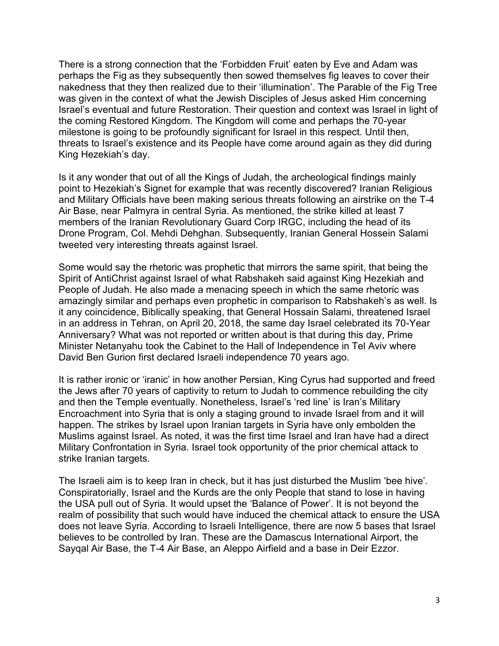There is a strong connection that the 'Forbidden Fruit' eaten by Eve and Adam was perhaps the Fig as they subsequently then sowed themselves fig leaves to cover their nakedness that they then realized due to their 'illumination'. The Parable of the Fig Tree was given in the context of what the Jewish Disciples of Jesus asked Him concerning Israel's eventual and future Restoration. Their question and context was Israel in light of the coming Restored Kingdom. The Kingdom will come and perhaps the 70-year milestone is going to be profoundly significant for Israel in this respect. Until then, threats to Israel's existence and its People have come around again as they did during King Hezekiah's day.

Is it any wonder that out of all the Kings of Judah, the archeological findings mainly point to Hezekiah's Signet for example that was recently discovered? Iranian Religious and Military Officials have been making serious threats following an airstrike on the T-4 Air Base, near Palmyra in central Syria. As mentioned, the strike killed at least 7 members of the Iranian Revolutionary Guard Corp IRGC, including the head of its Drone Program, Col. Mehdi Dehghan. Subsequently, Iranian General Hossein Salami tweeted very interesting threats against Israel.

Some would say the rhetoric was prophetic that mirrors the same spirit, that being the Spirit of AntiChrist against Israel of what Rabshakeh said against King Hezekiah and People of Judah. He also made a menacing speech in which the same rhetoric was amazingly similar and perhaps even prophetic in comparison to Rabshakeh's as well. Is it any coincidence, Biblically speaking, that General Hossain Salami, threatened Israel in an address in Tehran, on April 20, 2018, the same day Israel celebrated its 70-Year Anniversary? What was not reported or written about is that during this day, Prime Minister Netanyahu took the Cabinet to the Hall of Independence in Tel Aviv where David Ben Gurion first declared Israeli independence 70 years ago.

It is rather ironic or 'iranic' in how another Persian, King Cyrus had supported and freed the Jews after 70 years of captivity to return to Judah to commence rebuilding the city and then the Temple eventually. Nonetheless, Israel's 'red line' is Iran's Military Encroachment into Syria that is only a staging ground to invade Israel from and it will happen. The strikes by Israel upon Iranian targets in Syria have only embolden the Muslims against Israel. As noted, it was the first time Israel and Iran have had a direct Military Confrontation in Syria. Israel took opportunity of the prior chemical attack to strike Iranian targets.

The Israeli aim is to keep Iran in check, but it has just disturbed the Muslim 'bee hive'. Conspiratorially, Israel and the Kurds are the only People that stand to lose in having the USA pull out of Syria. It would upset the 'Balance of Power'. It is not beyond the realm of possibility that such would have induced the chemical attack to ensure the USA does not leave Syria. According to Israeli Intelligence, there are now 5 bases that Israel believes to be controlled by Iran. These are the Damascus International Airport, the Sayqal Air Base, the T-4 Air Base, an Aleppo Airfield and a base in Deir Ezzor.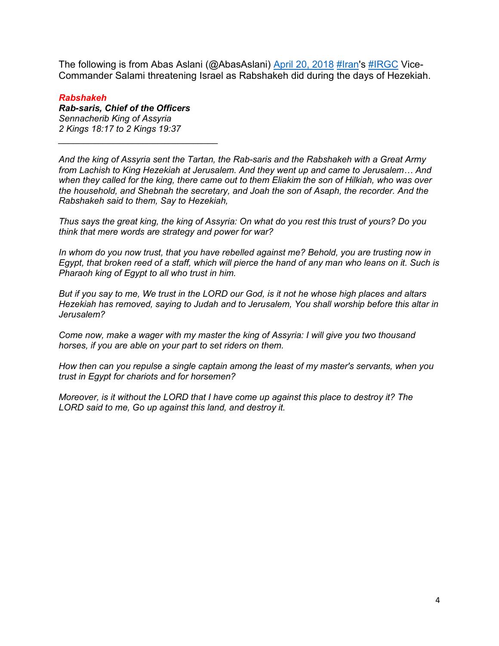The following is from Abas Aslani (@AbasAslani) [April 20, 2018](https://twitter.com/AbasAslani/status/987261461679562752?ref_src=twsrc%5Etfw) [#Iran's](https://twitter.com/hashtag/Iran?src=hash&ref_src=twsrc%5Etfw) [#IRGC](https://twitter.com/hashtag/IRGC?src=hash&ref_src=twsrc%5Etfw) Vice-Commander Salami threatening Israel as Rabshakeh did during the days of Hezekiah.

## *Rabshakeh*

*Rab-saris, Chief of the Officers Sennacherib King of Assyria 2 Kings 18:17 to 2 Kings 19:37*

*\_\_\_\_\_\_\_\_\_\_\_\_\_\_\_\_\_\_\_\_\_\_\_\_\_\_\_\_\_\_\_\_*

*And the king of Assyria sent the Tartan, the Rab-saris and the Rabshakeh with a Great Army from Lachish to King Hezekiah at Jerusalem. And they went up and came to Jerusalem… And when they called for the king, there came out to them Eliakim the son of Hilkiah, who was over the household, and Shebnah the secretary, and Joah the son of Asaph, the recorder. And the Rabshakeh said to them, Say to Hezekiah,*

*Thus says the great king, the king of Assyria: On what do you rest this trust of yours? Do you think that mere words are strategy and power for war?* 

*In whom do you now trust, that you have rebelled against me? Behold, you are trusting now in Egypt, that broken reed of a staff, which will pierce the hand of any man who leans on it. Such is Pharaoh king of Egypt to all who trust in him.* 

*But if you say to me, We trust in the LORD our God, is it not he whose high places and altars Hezekiah has removed, saying to Judah and to Jerusalem, You shall worship before this altar in Jerusalem?* 

*Come now, make a wager with my master the king of Assyria: I will give you two thousand horses, if you are able on your part to set riders on them.* 

*How then can you repulse a single captain among the least of my master's servants, when you trust in Egypt for chariots and for horsemen?* 

*Moreover, is it without the LORD that I have come up against this place to destroy it? The LORD said to me, Go up against this land, and destroy it.*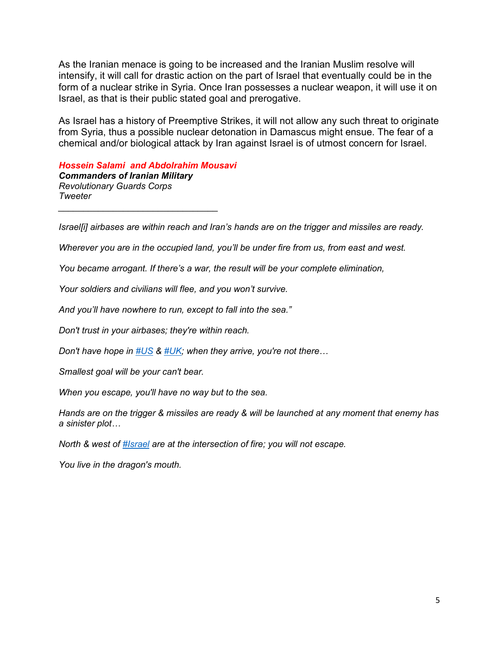As the Iranian menace is going to be increased and the Iranian Muslim resolve will intensify, it will call for drastic action on the part of Israel that eventually could be in the form of a nuclear strike in Syria. Once Iran possesses a nuclear weapon, it will use it on Israel, as that is their public stated goal and prerogative.

As Israel has a history of Preemptive Strikes, it will not allow any such threat to originate from Syria, thus a possible nuclear detonation in Damascus might ensue. The fear of a chemical and/or biological attack by Iran against Israel is of utmost concern for Israel.

*Hossein Salami and Abdolrahim Mousavi Commanders of Iranian Military Revolutionary Guards Corps Tweeter \_\_\_\_\_\_\_\_\_\_\_\_\_\_\_\_\_\_\_\_\_\_\_\_\_\_\_\_\_\_\_\_*

*Israel[i] airbases are within reach and Iran's hands are on the trigger and missiles are ready.* 

*Wherever you are in the occupied land, you'll be under fire from us, from east and west.* 

*You became arrogant. If there's a war, the result will be your complete elimination,* 

*Your soldiers and civilians will flee, and you won't survive.* 

*And you'll have nowhere to run, except to fall into the sea."*

*Don't trust in your airbases; they're within reach.* 

*Don't have hope in [#US](https://twitter.com/hashtag/US?src=hash&ref_src=twsrc%5Etfw) & [#UK](https://twitter.com/hashtag/UK?src=hash&ref_src=twsrc%5Etfw); when they arrive, you're not there…*

*Smallest goal will be your can't bear.* 

*When you escape, you'll have no way but to the sea.* 

*Hands are on the trigger & missiles are ready & will be launched at any moment that enemy has a sinister plot…* 

*North & west of [#Israel](https://twitter.com/hashtag/Israel?src=hash&ref_src=twsrc%5Etfw) are at the intersection of fire; you will not escape.* 

*You live in the dragon's mouth.*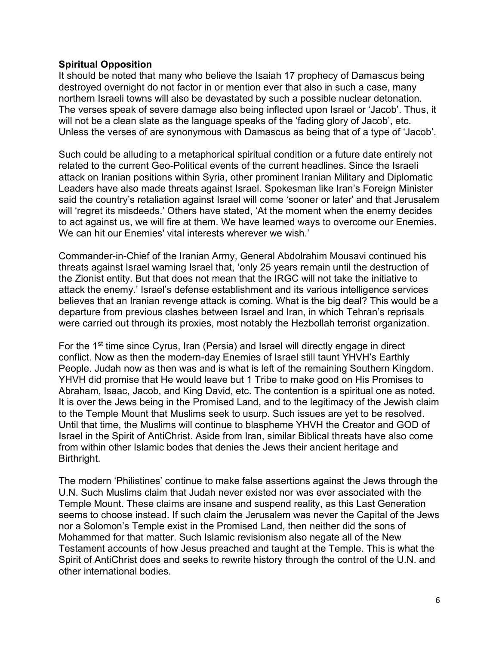## **Spiritual Opposition**

It should be noted that many who believe the Isaiah 17 prophecy of Damascus being destroyed overnight do not factor in or mention ever that also in such a case, many northern Israeli towns will also be devastated by such a possible nuclear detonation. The verses speak of severe damage also being inflected upon Israel or 'Jacob'. Thus, it will not be a clean slate as the language speaks of the 'fading glory of Jacob', etc. Unless the verses of are synonymous with Damascus as being that of a type of 'Jacob'.

Such could be alluding to a metaphorical spiritual condition or a future date entirely not related to the current Geo-Political events of the current headlines. Since the Israeli attack on Iranian positions within Syria, other prominent Iranian Military and Diplomatic Leaders have also made threats against Israel. Spokesman like Iran's Foreign Minister said the country's retaliation against Israel will come 'sooner or later' and that Jerusalem will 'regret its misdeeds.' Others have stated, 'At the moment when the enemy decides to act against us, we will fire at them. We have learned ways to overcome our Enemies. We can hit our Enemies' vital interests wherever we wish.'

Commander-in-Chief of the Iranian Army, General Abdolrahim Mousavi continued his threats against Israel warning Israel that, 'only 25 years remain until the destruction of the Zionist entity. But that does not mean that the IRGC will not take the initiative to attack the enemy.' Israel's defense establishment and its various intelligence services believes that an Iranian revenge attack is coming. What is the big deal? This would be a departure from previous clashes between Israel and Iran, in which Tehran's reprisals were carried out through its proxies, most notably the Hezbollah terrorist organization.

For the 1<sup>st</sup> time since Cyrus, Iran (Persia) and Israel will directly engage in direct conflict. Now as then the modern-day Enemies of Israel still taunt YHVH's Earthly People. Judah now as then was and is what is left of the remaining Southern Kingdom. YHVH did promise that He would leave but 1 Tribe to make good on His Promises to Abraham, Isaac, Jacob, and King David, etc. The contention is a spiritual one as noted. It is over the Jews being in the Promised Land, and to the legitimacy of the Jewish claim to the Temple Mount that Muslims seek to usurp. Such issues are yet to be resolved. Until that time, the Muslims will continue to blaspheme YHVH the Creator and GOD of Israel in the Spirit of AntiChrist. Aside from Iran, similar Biblical threats have also come from within other Islamic bodes that denies the Jews their ancient heritage and Birthright.

The modern 'Philistines' continue to make false assertions against the Jews through the U.N. Such Muslims claim that Judah never existed nor was ever associated with the Temple Mount. These claims are insane and suspend reality, as this Last Generation seems to choose instead. If such claim the Jerusalem was never the Capital of the Jews nor a Solomon's Temple exist in the Promised Land, then neither did the sons of Mohammed for that matter. Such Islamic revisionism also negate all of the New Testament accounts of how Jesus preached and taught at the Temple. This is what the Spirit of AntiChrist does and seeks to rewrite history through the control of the U.N. and other international bodies.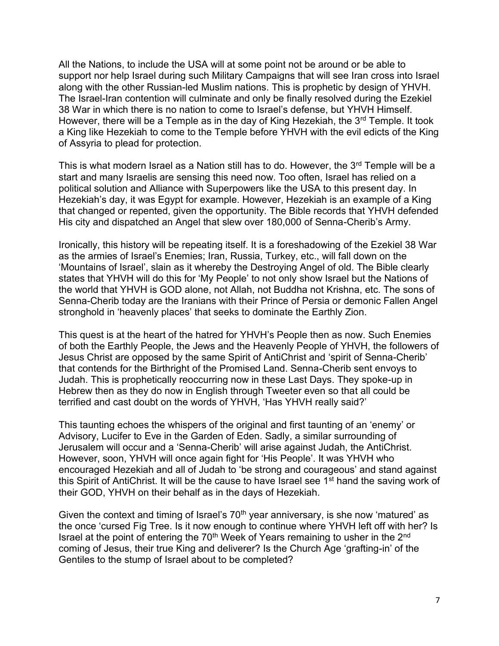All the Nations, to include the USA will at some point not be around or be able to support nor help Israel during such Military Campaigns that will see Iran cross into Israel along with the other Russian-led Muslim nations. This is prophetic by design of YHVH. The Israel-Iran contention will culminate and only be finally resolved during the Ezekiel 38 War in which there is no nation to come to Israel's defense, but YHVH Himself. However, there will be a Temple as in the day of King Hezekiah, the 3<sup>rd</sup> Temple. It took a King like Hezekiah to come to the Temple before YHVH with the evil edicts of the King of Assyria to plead for protection.

This is what modern Israel as a Nation still has to do. However, the  $3<sup>rd</sup>$  Temple will be a start and many Israelis are sensing this need now. Too often, Israel has relied on a political solution and Alliance with Superpowers like the USA to this present day. In Hezekiah's day, it was Egypt for example. However, Hezekiah is an example of a King that changed or repented, given the opportunity. The Bible records that YHVH defended His city and dispatched an Angel that slew over 180,000 of Senna-Cherib's Army.

Ironically, this history will be repeating itself. It is a foreshadowing of the Ezekiel 38 War as the armies of Israel's Enemies; Iran, Russia, Turkey, etc., will fall down on the 'Mountains of Israel', slain as it whereby the Destroying Angel of old. The Bible clearly states that YHVH will do this for 'My People' to not only show Israel but the Nations of the world that YHVH is GOD alone, not Allah, not Buddha not Krishna, etc. The sons of Senna-Cherib today are the Iranians with their Prince of Persia or demonic Fallen Angel stronghold in 'heavenly places' that seeks to dominate the Earthly Zion.

This quest is at the heart of the hatred for YHVH's People then as now. Such Enemies of both the Earthly People, the Jews and the Heavenly People of YHVH, the followers of Jesus Christ are opposed by the same Spirit of AntiChrist and 'spirit of Senna-Cherib' that contends for the Birthright of the Promised Land. Senna-Cherib sent envoys to Judah. This is prophetically reoccurring now in these Last Days. They spoke-up in Hebrew then as they do now in English through Tweeter even so that all could be terrified and cast doubt on the words of YHVH, 'Has YHVH really said?'

This taunting echoes the whispers of the original and first taunting of an 'enemy' or Advisory, Lucifer to Eve in the Garden of Eden. Sadly, a similar surrounding of Jerusalem will occur and a 'Senna-Cherib' will arise against Judah, the AntiChrist. However, soon, YHVH will once again fight for 'His People'. It was YHVH who encouraged Hezekiah and all of Judah to 'be strong and courageous' and stand against this Spirit of AntiChrist. It will be the cause to have Israel see 1<sup>st</sup> hand the saving work of their GOD, YHVH on their behalf as in the days of Hezekiah.

Given the context and timing of Israel's  $70<sup>th</sup>$  year anniversary, is she now 'matured' as the once 'cursed Fig Tree. Is it now enough to continue where YHVH left off with her? Is Israel at the point of entering the  $70<sup>th</sup>$  Week of Years remaining to usher in the  $2<sup>nd</sup>$ coming of Jesus, their true King and deliverer? Is the Church Age 'grafting-in' of the Gentiles to the stump of Israel about to be completed?